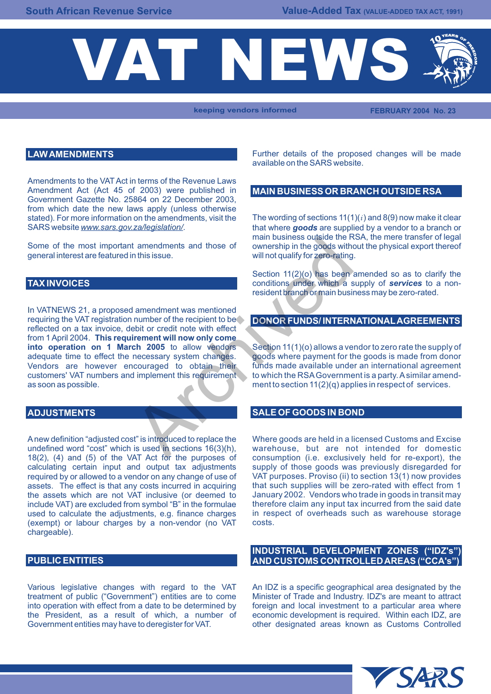

**keeping vendors informed FEBRUARY 2004 No. 23**

# **LAW AMENDMENTS**

Amendments to the VAT Act in terms of the Revenue Laws Amendment Act (Act 45 of 2003) were published in Government Gazette No. 25864 on 22 December 2003, from which date the new laws apply (unless otherwise

general interest are featured in this issue.

# **TAX INVOICES**

In VATNEWS 21, a proposed amendment was mentioned requiring the VAT registration number of the recipient to be reflected on a tax invoice, debit or credit note with effect from 1 April 2004. **This requirement will now only come**  adequate time to effect the necessary system changes. yoods where payment for the goods is made from donor<br>Vendors are however encouraged to obtain their funds made available under an international agreement Vendors are however encouraged to obtain their customers' VAT numbers and implement this requirement to which the RSA Government is a party. A similar amendas soon as possible.  $m = \frac{1}{2}$  ment to section  $11(2)(q)$  applies in respect of services. main business ouside the main business ouside the main business outside the main business outside the main this issue.<br>
Section 11(2)(o) has been conditions under which a sesident branch or main busines<br>
are conditions und

A new definition "adjusted cost" is introduced to replace the Where goods are held in a licensed Customs and Excise<br>undefined word "cost" which is used in sections 16(3)(h). warehouse, but are not intended for domestic undefined word "cost" which is used in sections  $16(3)(h)$ , warehouse, but are not intended for domestic  $18(2)$ . (4) and (5) of the VAT Act for the purposes of consumption (i.e. exclusively held for re-export), the 18(2), (4) and (5) of the VAT Act for the purposes of consumption (i.e. exclusively held for re-export), the calculating certain input and output tax adjustments supply of those goods was previously disregarded for required by or allowed to a vendor on any change of use of VAT purposes. Proviso (ii) to section 13(1) now provides required by or allowed to a vendor on any change of use of VAT purposes. Proviso (ii) to section 13(1) now provides assets. The effect is that any costs incurred in acquiring that such supplies will be zero-rated with effe assets. The effect is that any costs incurred in acquiring that such supplies will be zero-rated with effect from 1<br>the assets which are not VAT inclusive (or deemed to January 2002. Vendors who trade in goods in transit m the assets which are not VAT inclusive (or deemed to January 2002. Vendors who trade in goods in transit may<br>include VAT) are excluded from symbol "B" in the formulae therefore claim any input tax incurred from the said da include VAT) are excluded from symbol "B" in the formulae therefore claim any input tax incurred from the said date<br>used to calculate the adiustments, e.g. finance charges in respect of overheads such as warehouse storage used to calculate the adjustments, e.g. finance charges (exempt) or labour charges by a non-vendor (no VAT costs. chargeable).

Various legislative changes with regard to the VAT An IDZ is a specific geographical area designated by the treatment of public ("Government") entities are to come Minister of Trade and Industry. IDZ's are meant to attract into operation with effect from a date to be determined by foreign and local investment to a particular area where the President, as a result of which, a number of economic development is required. Within each IDZ, are Government entities may have to deregister for VAT. The other designated areas known as Customs Controlled

Further details of the proposed changes will be made available on the SARS website.

#### **MAIN BUSINESS OR BRANCH OUTSIDE RSA**

stated). For more information on the amendments, visit the The wording of sections 11(1)(*i* ) and 8(9) now make it clear SARS website *www.sars.gov.za/legislation/*. that where **goods** are supplied by a vendor to a branch or main business outside the RSA, the mere transfer of legal Some of the most important amendments and those of ownership in the goods without the physical export thereof general interest are featured in this issue.

> Section 11(2)(o) has been amended so as to clarify the conditions under which a supply of *services* to a nonresident branch or main business may be zero-rated.

# **DONOR FUNDS/ INTERNATIONAL AGREEMENTS**

Section 11(1)(o) allows a vendor to zero rate the supply of goods where payment for the goods is made from donor

#### **ADJUSTMENTS SALE OF GOODS IN BOND**

### **INDUSTRIAL DEVELOPMENT ZONES ("IDZ's") PUBLIC ENTITIES AND CUSTOMS CONTROLLED AREAS ("CCA's")**